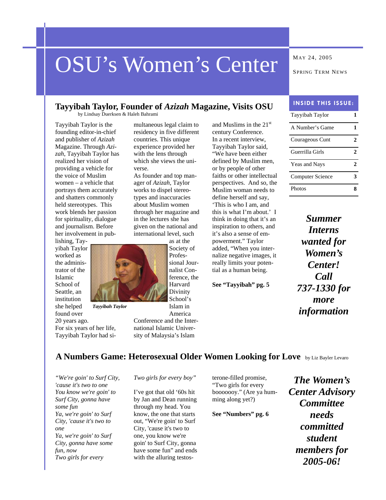# OSU's Women's Center SPRING TERM NEWS

### **Tayyibah Taylor, Founder of** *Azizah* **Magazine, Visits OSU**

by Lindsay Duerksen & Haleh Bahrami

Tayyibah Taylor is the founding editor-in-chief and publisher of *Azizah*  Magazine. Through *Azizah*, Tayyibah Taylor has realized her vision of providing a vehicle for the voice of Muslim women – a vehicle that portrays them accurately and shatters commonly held stereotypes. This work blends her passion for spirituality, dialogue and journalism. Before her involvement in pub-

lishing, Tayyibah Taylor worked as the administrator of the Islamic School of Seattle, an institution she helped found over

20 years ago. For six years of her life, Tayyibah Taylor had si-

multaneous legal claim to residency in five different countries. This unique experience provided her with the lens through which she views the universe.

As founder and top manager of *Azizah*, Taylor works to dispel stereotypes and inaccuracies about Muslim women through her magazine and in the lectures she has given on the national and international level, such as at the

Society of Professional Journalist Conference, the Harvard Divinity School's Islam in

America Conference and the International Islamic University of Malaysia's Islam

and Muslims in the  $21<sup>st</sup>$ century Conference. In a recent interview, Tayyibah Taylor said, "We have been either defined by Muslim men, or by people of other faiths or other intellectual perspectives. And so, the Muslim woman needs to define herself and say, 'This is who I am, and this is what I'm about.' I think in doing that it's an inspiration to others, and it's also a sense of empowerment." Taylor added, "When you internalize negative images, it really limits your potential as a human being.

**See "Tayyibah" pg. 5** 

#### **INSIDE THIS ISSUE:**

| Tayyibah Taylor         |   |
|-------------------------|---|
| A Number's Game         |   |
| Courageous Cunt         |   |
| Guerrilla Girls         |   |
| Yeas and Nays           |   |
| <b>Computer Science</b> | 3 |
| <b>Photos</b>           |   |

*Summer Interns wanted for Women's Center! Call 737-1330 for more information* 

*Tayyibah Taylor* 

### **A Numbers Game: Heterosexual Older Women Looking for Love** by Liz Bayler Levaro

*"We're goin' to Surf City, 'cause it's two to one You know we're goin' to Surf City, gonna have some fun Ya, we're goin' to Surf City, 'cause it's two to one Ya, we're goin' to Surf City, gonna have some fun, now* 

*Two girls for every* 

#### *Two girls for every boy"*

I've got that old '60s hit by Jan and Dean running through my head. You know, the one that starts out, "We're goin' to Surf City, 'cause it's two to one, you know we're goin' to Surf City, gonna have some fun" and ends with the alluring testosterone-filled promise, "Two girls for every booooooy." (Are ya humming along yet?)

**See "Numbers" pg. 6** 

*The Women's Center Advisory Committee needs committed student members for 2005-06!* 

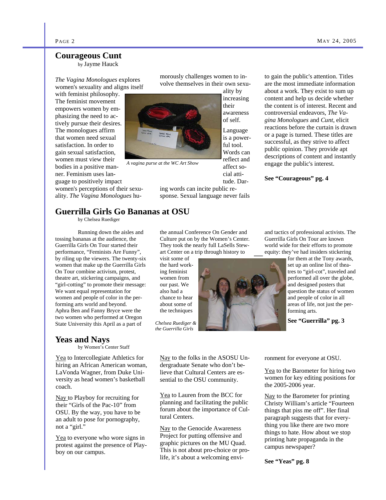#### **Courageous Cunt**

by Jayme Hauck

*The Vagina Monologues* explores women's sexuality and aligns itself

with feminist philosophy. The feminist movement empowers women by emphasizing the need to actively pursue their desires. The monologues affirm that women need sexual satisfaction. In order to gain sexual satisfaction, women must view their bodies in a positive manner. Feminism uses language to positively impact women's perceptions of their sexuality. *The Vagina Monologues* hu-

**Guerrilla Girls Go Bananas at OSU** 

by Chelsea Ruediger

Running down the aisles and tossing bananas at the audience, the Guerrilla Girls On Tour started their performance, "Feminists Are Funny", by riling up the viewers. The twenty-six women that make up the Guerrilla Girls On Tour combine activism, protest, theatre art, stickering campaigns, and "girl-cotting" to promote their message: We want equal representation for women and people of color in the performing arts world and beyond. Aphra Ben and Fanny Bryce were the two women who performed at Oregon State University this April as a part of

**Yeas and Nays** 

by Women's Center Staff

Yea to Intercollegiate Athletics for hiring an African American woman, LaVonda Wagner, from Duke University as head women's basketball coach.

Nay to Playboy for recruiting for their "Girls of the Pac-10" from OSU. By the way, you have to be an adult to pose for pornography, not a "girl."

Yea to everyone who wore signs in protest against the presence of Playboy on our campus.

morously challenges women to involve themselves in their own sexu-

> ality by increasing their awareness of self. Language is a powerful tool. Words can reflect and affect social atti-



*A vagina purse at the WC Art Show* 

tude. Daring words can incite public response. Sexual language never fails to gain the public's attention. Titles are the most immediate information about a work. They exist to sum up content and help us decide whether the content is of interest. Recent and controversial endeavors, *The Vagina Monologues* and *Cunt*, elicit reactions before the curtain is drawn or a page is turned. These titles are successful, as they strive to affect public opinion. They provide apt descriptions of content and instantly engage the public's interest.

**See "Courageous" pg. 4** 

the annual Conference On Gender and Culture put on by the Women's Center. They took the nearly full LaSells Stewart Center on a trip through history to

visit some of the hard working feminist women from our past. We also had a chance to hear about some of the techniques

*Chelsea Ruediger & the Guerrilla Girls* 



and tactics of professional activists. The Guerrilla Girls On Tour are known world wide for their efforts to promote equity: they've had insiders stickering

for them at the Tony awards, set up an online list of theatres to "girl-cot", traveled and performed all over the globe, and designed posters that question the status of women and people of color in all areas of life, not just the performing arts.

**See "Guerrilla" pg. 3**

Nay to the folks in the ASOSU Undergraduate Senate who don't believe that Cultural Centers are essential to the OSU community.

Yea to Lauren from the BCC for planning and facilitating the public forum about the importance of Cultural Centers.

Nay to the Genocide Awareness Project for putting offensive and graphic pictures on the MU Quad. This is not about pro-choice or prolife, it's about a welcoming environment for everyone at OSU.

Yea to the Barometer for hiring two women for key editing positions for the 2005-2006 year.

Nay to the Barometer for printing Christy William's article "Fourteen things that piss me off". Her final paragraph suggests that for everything you like there are two more things to hate. How about we stop printing hate propaganda in the campus newspaper?

**See "Yeas" pg. 8**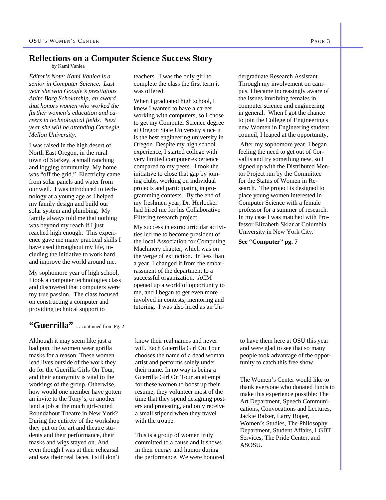### **Reflections on a Computer Science Success Story**

by Kami Vaniea

*Editor's Note: Kami Vaniea is a senior in Computer Science. Last year she won Google's prestigious Anita Borg Scholarship, an award that honors women who worked the further women's education and careers in technological fields. Next year she will be attending Carnegie Mellon University.* 

I was raised in the high desert of North East Oregon, in the rural town of Starkey, a small ranching and logging community. My home was "off the grid." Electricity came from solar panels and water from our well. I was introduced to technology at a young age as I helped my family design and build our solar system and plumbing. My family always told me that nothing was beyond my reach if I just reached high enough. This experience gave me many practical skills I have used throughout my life, including the initiative to work hard and improve the world around me.

My sophomore year of high school, I took a computer technologies class and discovered that computers were my true passion. The class focused on constructing a computer and providing technical support to

teachers. I was the only girl to complete the class the first term it was offered.

When I graduated high school, I knew I wanted to have a career working with computers, so I chose to get my Computer Science degree at Oregon State University since it is the best engineering university in Oregon. Despite my high school experience, I started college with very limited computer experience compared to my peers. I took the initiative to close that gap by joining clubs, working on individual projects and participating in programming contests. By the end of my freshmen year, Dr. Herlocker had hired me for his Collaborative Filtering research project.

My success in extracurricular activities led me to become president of the local Association for Computing Machinery chapter, which was on the verge of extinction. In less than a year, I changed it from the embarrassment of the department to a successful organization. ACM opened up a world of opportunity to me, and I began to get even more involved in contests, mentoring and tutoring. I was also hired as an Un-

dergraduate Research Assistant. Through my involvement on campus, I became increasingly aware of the issues involving females in computer science and engineering in general. When I got the chance to join the College of Engineering's new Women in Engineering student council, I leaped at the opportunity.

 After my sophomore year, I began feeling the need to get out of Corvallis and try something new, so I signed up with the Distributed Mentor Project run by the Committee for the Status of Women in Research. The project is designed to place young women interested in Computer Science with a female professor for a summer of research. In my case I was matched with Professor Elizabeth Sklar at Columbia University in New York City.

**See "Computer" pg. 7**

### **"Guerrilla"** … continued from Pg. 2

Although it may seem like just a bad pun, the women wear gorilla masks for a reason. These women lead lives outside of the work they do for the Guerilla Girls On Tour, and their anonymity is vital to the workings of the group. Otherwise, how would one member have gotten an invite to the Tony's, or another land a job at the much girl-cotted Roundabout Theatre in New York? During the entirety of the workshop they put on for art and theatre students and their performance, their masks and wigs stayed on. And even though I was at their rehearsal and saw their real faces, I still don't

know their real names and never will. Each Guerrilla Girl On Tour chooses the name of a dead woman artist and performs solely under their name. In no way is being a Guerrilla Girl On Tour an attempt for these women to boost up their resume; they volunteer most of the time that they spend designing posters and protesting, and only receive a small stipend when they travel with the troupe.

This is a group of women truly committed to a cause and it shows in their energy and humor during the performance. We were honored to have them here at OSU this year and were glad to see that so many people took advantage of the opportunity to catch this free show.

The Women's Center would like to thank everyone who donated funds to make this experience possible: The Art Department, Speech Communications, Convocations and Lectures, Jackie Balzer, Larry Roper, Women's Studies, The Philosophy Department, Student Affairs, LGBT Services, The Pride Center, and ASOSU.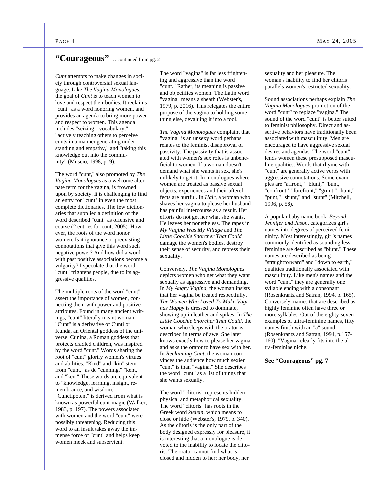#### **"Courageous"** … continued from pg. 2

*Cunt* attempts to make changes in society through controversial sexual language. Like *The Vagina Monologues*, the goal of *Cunt* is to teach women to love and respect their bodies. It reclaims "cunt" as a word honoring women, and provides an agenda to bring more power and respect to women. This agenda includes "seizing a vocabulary," "actively teaching others to perceive cunts in a manner generating understanding and empathy," and "taking this knowledge out into the community" (Muscio, 1998, p. 9).

The word "cunt," also promoted by *The Vagina Monologues* as a welcome alternate term for the vagina, is frowned upon by society. It is challenging to find an entry for "cunt" in even the most complete dictionaries. The few dictionaries that supplied a definition of the word described "cunt" as offensive and coarse (2 entries for cunt, 2005). However, the roots of the word honor women. Is it ignorance or preexisting connotations that give this word such negative power? And how did a word with past positive associations become a vulgarity? I speculate that the word "cunt" frightens people, due to its aggressive qualities.

The multiple roots of the word "cunt" assert the importance of women, connecting them with power and positive attributes. Found in many ancient writings, "cunt" literally meant woman. "Cunt" is a derivative of Cunti or Kunda, an Oriental goddess of the universe. Cunina, a Roman goddess that protects cradled children, was inspired by the word "cunt." Words sharing the root of "cunt" glorify women's virtues and abilities. "Kind" and "kin" stem from "cunt," as do "cunning," "kent," and "ken." These words are equivalent to "knowledge, learning, insight, remembrance, and wisdom."

"Cunctipotent" is derived from what is known as powerful cunt-magic (Walker, 1983, p. 197). The powers associated with women and the word "cunt" were possibly threatening. Reducing this word to an insult takes away the immense force of "cunt" and helps keep women meek and subservient.

The word "vagina" is far less frightening and aggressive than the word "cunt." Rather, its meaning is passive and objectifies women. The Latin word "vagina" means a sheath (Webster's, 1979, p. 2016). This relegates the entire purpose of the vagina to holding something else, devaluing it into a tool.

*The Vagina Monologues* complaint that "vagina" is an unsexy word perhaps relates to the feminist disapproval of passivity. The passivity that is associated with women's sex roles is unbeneficial to women. If a woman doesn't demand what she wants in sex, she's unlikely to get it. In monologues where women are treated as passive sexual objects, experiences and their aftereffects are hurtful. In *Hair*, a woman who shaves her vagina to please her husband has painful intercourse as a result. Her efforts do not get her what she wants. He leaves her nonetheless. The rapes in *My Vagina Was My Village* and *The Little Coochie Snorcher That Could* damage the women's bodies, destroy their sense of security, and repress their sexuality.

Conversely, *The Vagina Monologues* depicts women who get what they want sexually as aggressive and demanding. In *My Angry Vagina*, the woman insists that her vagina be treated respectfully. *The Women Who Loved To Make Vaginas Happy* is dressed to dominate, showing up in leather and spikes. In *The Little Coochie Snorcher That Could*, the woman who sleeps with the orator is described in terms of awe. She later knows exactly how to please her vagina and asks the orator to have sex with her. In *Reclaiming Cunt*, the woman convinces the audience how much sexier "cunt" is than "vagina." She describes the word "cunt" as a list of things that she wants sexually.

The word "clitoris" represents hidden physical and metaphorical sexuality. The word "clitoris" has roots in the Greek word *kleiein*, which means to close or hide (Webster's, 1979, p. 340). As the clitoris is the only part of the body designed expressly for pleasure, it is interesting that a monologue is devoted to the inability to locate the clitoris. The orator cannot find what is closed and hidden to her; her body, her

sexuality and her pleasure. The woman's inability to find her clitoris parallels women's restricted sexuality.

Sound associations perhaps explain *The Vagina Monologues* promotion of the word "cunt" to replace "vagina." The sound of the word "cunt" is better suited to feminist philosophy. Direct and assertive behaviors have traditionally been associated with masculinity. Men are encouraged to have aggressive sexual desires and agendas. The word "cunt" lends women these presupposed masculine qualities. Words that rhyme with "cunt" are generally active verbs with aggressive connotations. Some examples are "affront," "blunt," "bunt," "confront," "forefront," "grunt," "hunt," "punt," "shunt," and "stunt" (Mitchell, 1996, p. 58).

A popular baby name book, *Beyond Jennifer and Jason*, categorizes girl's names into degrees of perceived femininity. Most interestingly, girl's names commonly identified as sounding less feminine are described as "blunt." These names are described as being "straightforward" and "down to earth," qualities traditionally associated with masculinity. Like men's names and the word "cunt," they are generally one syllable ending with a consonant (Rosenkrantz and Satran, 1994, p. 165). Conversely, names that are described as highly feminine often have three or more syllables. Out of the eighty-seven examples of ultra-feminine names, fifty names finish with an "a" sound (Rosenkrantz and Satran, 1994, p.157- 160). "Vagina" clearly fits into the ultra-feminine niche.

**See "Courageous" pg. 7**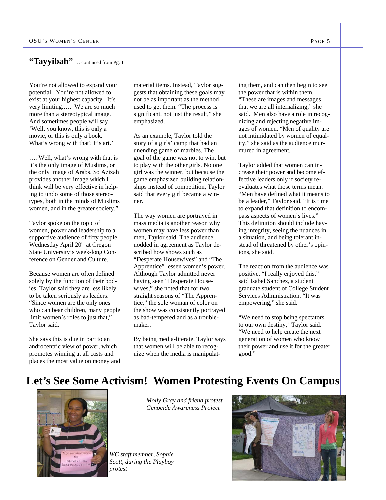### **"Tayyibah"** … continued from Pg. 1

You're not allowed to expand your potential. You're not allowed to exist at your highest capacity. It's very limiting.…. We are so much more than a stereotypical image. And sometimes people will say, 'Well, you know, this is only a movie, or this is only a book. What's wrong with that? It's art.'

…. Well, what's wrong with that is it's the only image of Muslims, or the only image of Arabs. So Azizah provides another image which I think will be very effective in helping to undo some of those stereotypes, both in the minds of Muslims women, and in the greater society."

Taylor spoke on the topic of women, power and leadership to a supportive audience of fifty people Wednesday April  $20<sup>th</sup>$  at Oregon State University's week-long Conference on Gender and Culture.

Because women are often defined solely by the function of their bodies, Taylor said they are less likely to be taken seriously as leaders. "Since women are the only ones who can bear children, many people limit women's roles to just that," Taylor said.

She says this is due in part to an androcentric view of power, which promotes winning at all costs and places the most value on money and material items. Instead, Taylor suggests that obtaining these goals may not be as important as the method used to get them. "The process is significant, not just the result," she emphasized.

As an example, Taylor told the story of a girls' camp that had an unending game of marbles. The goal of the game was not to win, but to play with the other girls. No one girl was the winner, but because the game emphasized building relationships instead of competition, Taylor said that every girl became a winner.

The way women are portrayed in mass media is another reason why women may have less power than men, Taylor said. The audience nodded in agreement as Taylor described how shows such as "Desperate Housewives" and "The Apprentice" lessen women's power. Although Taylor admitted never having seen "Desperate Housewives," she noted that for two straight seasons of "The Apprentice," the sole woman of color on the show was consistently portrayed as bad-tempered and as a troublemaker.

By being media-literate, Taylor says that women will be able to recognize when the media is manipulating them, and can then begin to see the power that is within them. "These are images and messages that we are all internalizing," she said. Men also have a role in recognizing and rejecting negative images of women. "Men of quality are not intimidated by women of equality," she said as the audience murmured in agreement.

Taylor added that women can increase their power and become effective leaders only if society reevaluates what those terms mean. "Men have defined what it means to be a leader," Taylor said. "It is time to expand that definition to encompass aspects of women's lives." This definition should include having integrity, seeing the nuances in a situation, and being tolerant instead of threatened by other's opinions, she said.

The reaction from the audience was positive. "I really enjoyed this," said Isabel Sanchez, a student graduate student of College Student Services Administration. "It was empowering," she said.

"We need to stop being spectators to our own destiny," Taylor said. "We need to help create the next generation of women who know their power and use it for the greater good."

## **Let's See Some Activism! Women Protesting Events On Campus**



*Molly Gray and friend protest Genocide Awareness Project* 

*WC staff member, Sophie Scott, during the Playboy protest* 

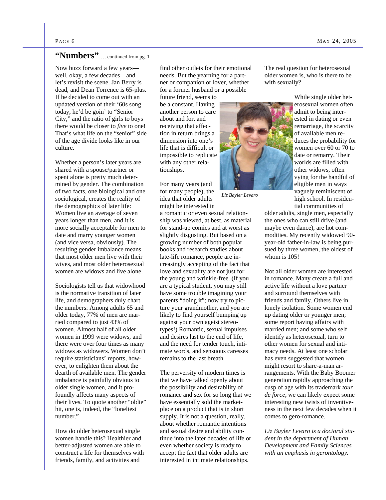#### **"Numbers"** … continued from pg. 1

Now buzz forward a few years well, okay, a few decades—and let's revisit the scene. Jan Berry is dead, and Dean Torrence is 65-plus. If he decided to come out with an updated version of their '60s song today, he'd be goin' to "Senior City," and the ratio of girls to boys there would be closer to *five* to one! That's what life on the "senior" side of the age divide looks like in our culture.

Whether a person's later years are shared with a spouse/partner or spent alone is pretty much determined by gender. The combination of two facts, one biological and one sociological, creates the reality of the demographics of later life: Women live an average of seven years longer than men, and it is more socially acceptable for men to date and marry younger women (and vice versa, obviously). The resulting gender imbalance means that most older men live with their wives, and most older heterosexual women are widows and live alone.

Sociologists tell us that widowhood is the normative transition of later life, and demographers duly chart the numbers: Among adults 65 and older today, 77% of men are married compared to just 43% of women. Almost half of all older women in 1999 were widows, and there were over four times as many widows as widowers. Women don't require statisticians' reports, however, to enlighten them about the dearth of available men. The gender imbalance is painfully obvious to older single women, and it profoundly affects many aspects of their lives. To quote another "oldie" hit, one is, indeed, the "loneliest number."

How do older heterosexual single women handle this? Healthier and better-adjusted women are able to construct a life for themselves with friends, family, and activities and

find other outlets for their emotional needs. But the yearning for a partner or companion or lover, whether for a former husband or a possible

future friend, seems to be a constant. Having another person to care about and for, and receiving that affection in return brings a dimension into one's life that is difficult or impossible to replicate with any other relationships.

For many years (and for many people), the idea that older adults might be interested in

a romantic or even sexual relationship was viewed, at best, as material for stand-up comics and at worst as slightly disgusting. But based on a growing number of both popular books and research studies about late-life romance, people are increasingly accepting of the fact that love and sexuality are not just for the young and wrinkle-free. (If you are a typical student, you may still have some trouble imagining your parents "doing it"; now try to picture your grandmother, and you are likely to find yourself bumping up against your own ageist stereotypes!) Romantic, sexual impulses and desires last to the end of life, and the need for tender touch, intimate words, and sensuous caresses remains to the last breath.

The perversity of modern times is that we have talked openly about the possibility and desirability of romance and sex for so long that we have essentially sold the marketplace on a product that is in short supply. It is not a question, really, about whether romantic intentions and sexual desire and ability continue into the later decades of life or even whether society is ready to accept the fact that older adults are interested in intimate relationships.

The real question for heterosexual older women is, who is there to be with sexually?



*Liz Bayler Levaro* 

While single older heterosexual women often admit to being interested in dating or even remarriage, the scarcity of available men reduces the probability for women over 60 or 70 to date or remarry. Their worlds are filled with other widows, often vying for the handful of eligible men in ways vaguely reminiscent of high school. In residential communities of

older adults, single men, especially the ones who can still drive (and maybe even dance), are hot commodities. My recently widowed 90 year-old father-in-law is being pursued by three women, the oldest of whom is 105!

Not all older women are interested in romance. Many create a full and active life without a love partner and surround themselves with friends and family. Others live in lonely isolation. Some women end up dating older or younger men; some report having affairs with married men; and some who self identify as heterosexual, turn to other women for sexual and intimacy needs. At least one scholar has even suggested that women might resort to share-a-man arrangements. With the Baby Boomer generation rapidly approaching the cusp of age with its trademark *tour de force*, we can likely expect some interesting new twists of inventiveness in the next few decades when it comes to gero-romance.

*Liz Bayler Levaro is a doctoral student in the department of Human Development and Family Sciences with an emphasis in gerontology.*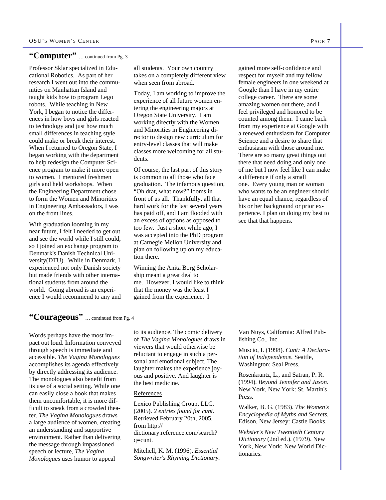#### **"Computer"** … continued from Pg. 3

Professor Sklar specialized in Educational Robotics. As part of her research I went out into the communities on Manhattan Island and taught kids how to program Lego robots. While teaching in New York, I began to notice the differences in how boys and girls reacted to technology and just how much small differences in teaching style could make or break their interest. When I returned to Oregon State, I began working with the department to help redesign the Computer Science program to make it more open to women. I mentored freshmen girls and held workshops. When the Engineering Department chose to form the Women and Minorities in Engineering Ambassadors, I was on the front lines.

With graduation looming in my near future, I felt I needed to get out and see the world while I still could, so I joined an exchange program to Denmark's Danish Technical University(DTU). While in Denmark, I experienced not only Danish society but made friends with other international students from around the world. Going abroad is an experience I would recommend to any and all students. Your own country takes on a completely different view when seen from abroad.

Today, I am working to improve the experience of all future women entering the engineering majors at Oregon State University. I am working directly with the Women and Minorities in Engineering director to design new curriculum for entry-level classes that will make classes more welcoming for all students.

Of course, the last part of this story is common to all those who face graduation. The infamous question, "Oh drat, what now?" looms in front of us all. Thankfully, all that hard work for the last several years has paid off, and I am flooded with an excess of options as opposed to too few. Just a short while ago, I was accepted into the PhD program at Carnegie Mellon University and plan on following up on my education there.

Winning the Anita Borg Scholarship meant a great deal to me. However, I would like to think that the money was the least I gained from the experience. I

gained more self-confidence and respect for myself and my fellow female engineers in one weekend at Google than I have in my entire college career. There are some amazing women out there, and I feel privileged and honored to be counted among them. I came back from my experience at Google with a renewed enthusiasm for Computer Science and a desire to share that enthusiasm with those around me. There are so many great things out there that need doing and only one of me but I now feel like I can make a difference if only a small one. Every young man or woman who wants to be an engineer should have an equal chance, regardless of his or her background or prior experience. I plan on doing my best to see that that happens.

#### **"Courageous"** … continued from Pg. 4

Words perhaps have the most impact out loud. Information conveyed through speech is immediate and accessible. *The Vagina Monologues* accomplishes its agenda effectively by directly addressing its audience. The monologues also benefit from its use of a social setting. While one can easily close a book that makes them uncomfortable, it is more difficult to sneak from a crowded theater. *The Vagina Monologues* draws a large audience of women, creating an understanding and supportive environment. Rather than delivering the message through impassioned speech or lecture, *The Vagina Monologues* uses humor to appeal

to its audience. The comic delivery of *The Vagina Monologues* draws in viewers that would otherwise be reluctant to engage in such a personal and emotional subject. The laughter makes the experience joyous and positive. And laughter is the best medicine.

#### References

Lexico Publishing Group, LLC. (2005). *2 entries found for cunt*. Retrieved February 20th, 2005, from http:// dictionary.reference.com/search? q=cunt.

Mitchell, K. M. (1996). *Essential Songwriter's Rhyming Dictionary.* 

Van Nuys, California: Alfred Publishing Co., Inc.

Muscio, I. (1998). *Cunt: A Declaration of Independence.* Seattle, Washington: Seal Press.

Rosenkrantz, L., and Satran, P. R. (1994). *Beyond Jennifer and Jason.*  New York, New York: St. Martin's Press.

Walker, B. G. (1983). *The Women's Encyclopedia of Myths and Secrets.* Edison, New Jersey: Castle Books.

*Webster's New Twentieth Century Dictionary* (2nd ed.). (1979). New York, New York: New World Dictionaries.